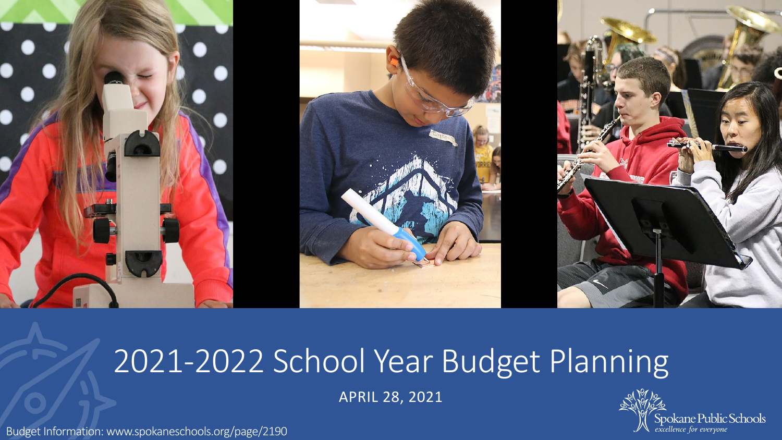

## 2021-2022 School Year Budget Planning

APRIL 28, 2021



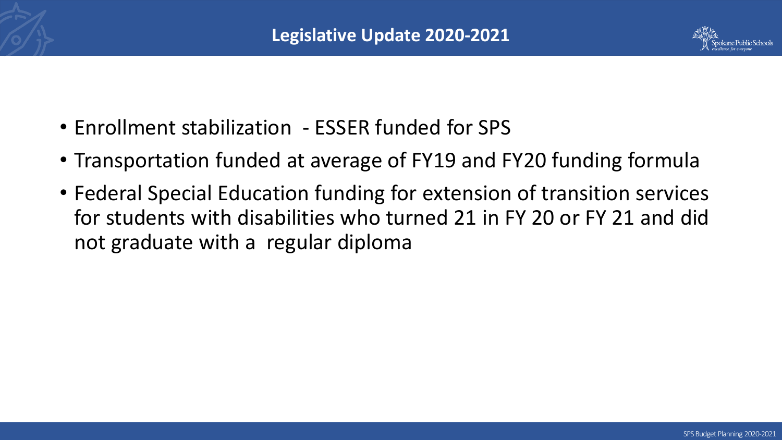

- Enrollment stabilization ESSER funded for SPS
- Transportation funded at average of FY19 and FY20 funding formula
- Federal Special Education funding for extension of transition services for students with disabilities who turned 21 in FY 20 or FY 21 and did not graduate with a regular diploma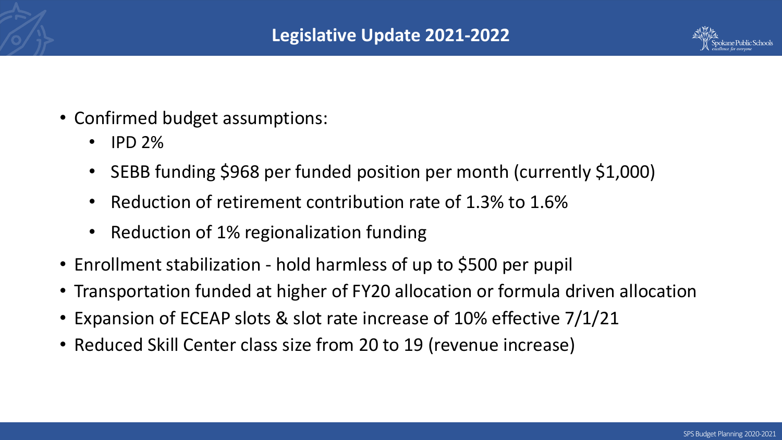

- Confirmed budget assumptions:
	- $\cdot$  IPD 2%
	- SEBB funding \$968 per funded position per month (currently \$1,000)
	- Reduction of retirement contribution rate of 1.3% to 1.6%
	- Reduction of 1% regionalization funding
- Enrollment stabilization hold harmless of up to \$500 per pupil
- Transportation funded at higher of FY20 allocation or formula driven allocation
- Expansion of ECEAP slots & slot rate increase of 10% effective 7/1/21
- Reduced Skill Center class size from 20 to 19 (revenue increase)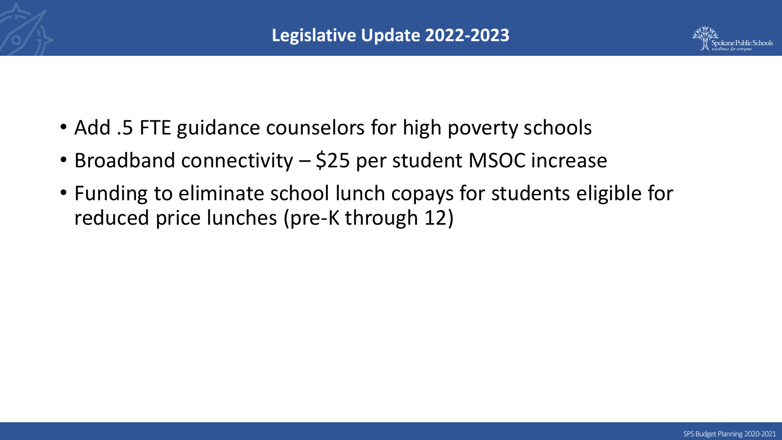

- Add .5 FTE guidance counselors for high poverty schools
- Broadband connectivity \$25 per student MSOC increase
- Funding to eliminate school lunch copays for students eligible for reduced price lunches (pre-K through 12)